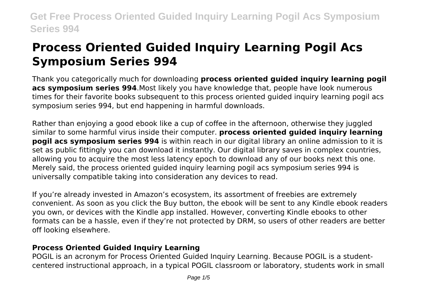# **Process Oriented Guided Inquiry Learning Pogil Acs Symposium Series 994**

Thank you categorically much for downloading **process oriented guided inquiry learning pogil acs symposium series 994**.Most likely you have knowledge that, people have look numerous times for their favorite books subsequent to this process oriented guided inquiry learning pogil acs symposium series 994, but end happening in harmful downloads.

Rather than enjoying a good ebook like a cup of coffee in the afternoon, otherwise they juggled similar to some harmful virus inside their computer. **process oriented guided inquiry learning pogil acs symposium series 994** is within reach in our digital library an online admission to it is set as public fittingly you can download it instantly. Our digital library saves in complex countries, allowing you to acquire the most less latency epoch to download any of our books next this one. Merely said, the process oriented guided inquiry learning pogil acs symposium series 994 is universally compatible taking into consideration any devices to read.

If you're already invested in Amazon's ecosystem, its assortment of freebies are extremely convenient. As soon as you click the Buy button, the ebook will be sent to any Kindle ebook readers you own, or devices with the Kindle app installed. However, converting Kindle ebooks to other formats can be a hassle, even if they're not protected by DRM, so users of other readers are better off looking elsewhere.

#### **Process Oriented Guided Inquiry Learning**

POGIL is an acronym for Process Oriented Guided Inquiry Learning. Because POGIL is a studentcentered instructional approach, in a typical POGIL classroom or laboratory, students work in small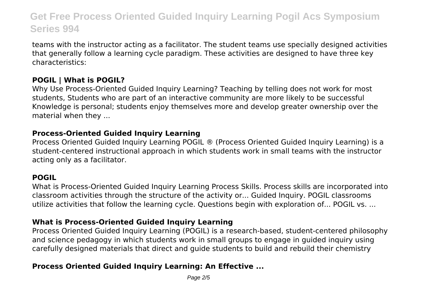teams with the instructor acting as a facilitator. The student teams use specially designed activities that generally follow a learning cycle paradigm. These activities are designed to have three key characteristics:

#### **POGIL | What is POGIL?**

Why Use Process-Oriented Guided Inquiry Learning? Teaching by telling does not work for most students, Students who are part of an interactive community are more likely to be successful Knowledge is personal; students enjoy themselves more and develop greater ownership over the material when they ...

#### **Process-Oriented Guided Inquiry Learning**

Process Oriented Guided Inquiry Learning POGIL ® (Process Oriented Guided Inquiry Learning) is a student-centered instructional approach in which students work in small teams with the instructor acting only as a facilitator.

### **POGIL**

What is Process-Oriented Guided Inquiry Learning Process Skills. Process skills are incorporated into classroom activities through the structure of the activity or... Guided Inquiry. POGIL classrooms utilize activities that follow the learning cycle. Questions begin with exploration of... POGIL vs. ...

### **What is Process-Oriented Guided Inquiry Learning**

Process Oriented Guided Inquiry Learning (POGIL) is a research-based, student-centered philosophy and science pedagogy in which students work in small groups to engage in guided inquiry using carefully designed materials that direct and guide students to build and rebuild their chemistry

### **Process Oriented Guided Inquiry Learning: An Effective ...**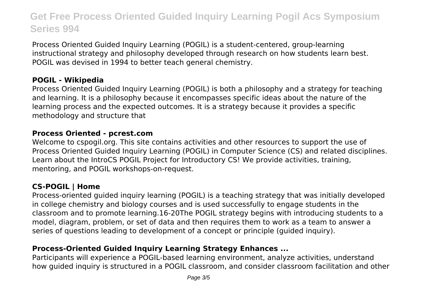Process Oriented Guided Inquiry Learning (POGIL) is a student-centered, group-learning instructional strategy and philosophy developed through research on how students learn best. POGIL was devised in 1994 to better teach general chemistry.

#### **POGIL - Wikipedia**

Process Oriented Guided Inquiry Learning (POGIL) is both a philosophy and a strategy for teaching and learning. It is a philosophy because it encompasses specific ideas about the nature of the learning process and the expected outcomes. It is a strategy because it provides a specific methodology and structure that

#### **Process Oriented - pcrest.com**

Welcome to cspogil.org. This site contains activities and other resources to support the use of Process Oriented Guided Inquiry Learning (POGIL) in Computer Science (CS) and related disciplines. Learn about the IntroCS POGIL Project for Introductory CS! We provide activities, training, mentoring, and POGIL workshops-on-request.

#### **CS-POGIL | Home**

Process-oriented guided inquiry learning (POGIL) is a teaching strategy that was initially developed in college chemistry and biology courses and is used successfully to engage students in the classroom and to promote learning.16-20The POGIL strategy begins with introducing students to a model, diagram, problem, or set of data and then requires them to work as a team to answer a series of questions leading to development of a concept or principle (guided inquiry).

### **Process-Oriented Guided Inquiry Learning Strategy Enhances ...**

Participants will experience a POGIL-based learning environment, analyze activities, understand how guided inquiry is structured in a POGIL classroom, and consider classroom facilitation and other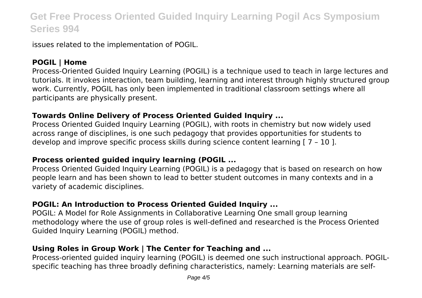issues related to the implementation of POGIL.

### **POGIL | Home**

Process-Oriented Guided Inquiry Learning (POGIL) is a technique used to teach in large lectures and tutorials. It invokes interaction, team building, learning and interest through highly structured group work. Currently, POGIL has only been implemented in traditional classroom settings where all participants are physically present.

#### **Towards Online Delivery of Process Oriented Guided Inquiry ...**

Process Oriented Guided Inquiry Learning (POGIL), with roots in chemistry but now widely used across range of disciplines, is one such pedagogy that provides opportunities for students to develop and improve specific process skills during science content learning [ 7 – 10 ].

#### **Process oriented guided inquiry learning (POGIL ...**

Process Oriented Guided Inquiry Learning (POGIL) is a pedagogy that is based on research on how people learn and has been shown to lead to better student outcomes in many contexts and in a variety of academic disciplines.

#### **POGIL: An Introduction to Process Oriented Guided Inquiry ...**

POGIL: A Model for Role Assignments in Collaborative Learning One small group learning methodology where the use of group roles is well-defined and researched is the Process Oriented Guided Inquiry Learning (POGIL) method.

### **Using Roles in Group Work | The Center for Teaching and ...**

Process-oriented guided inquiry learning (POGIL) is deemed one such instructional approach. POGILspecific teaching has three broadly defining characteristics, namely: Learning materials are self-